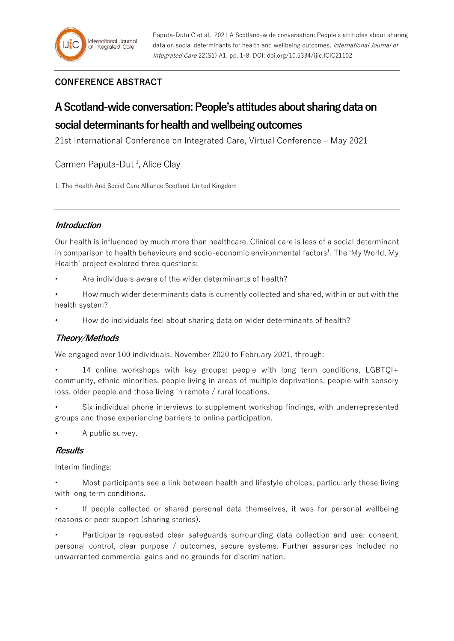# **CONFERENCE ABSTRACT**

# **A Scotland-wide conversation: People's attitudes about sharing data on**

# **social determinants for health and wellbeing outcomes**

21st International Conference on Integrated Care, Virtual Conference – May 2021

Carmen Paputa-Dut<sup>1</sup>, Alice Clay

1: The Health And Social Care Alliance Scotland United Kingdom

## **Introduction**

Our health is influenced by much more than healthcare. Clinical care is less of a social determinant in comparison to health behaviours and socio-economic environmental factors<sup>1</sup>. The 'My World, My Health' project explored three questions:

Are individuals aware of the wider determinants of health?

• How much wider determinants data is currently collected and shared, within or out with the health system?

• How do individuals feel about sharing data on wider determinants of health?

# **Theory/Methods**

We engaged over 100 individuals, November 2020 to February 2021, through:

• 14 online workshops with key groups: people with long term conditions, LGBTQI+ community, ethnic minorities, people living in areas of multiple deprivations, people with sensory loss, older people and those living in remote / rural locations.

Six individual phone interviews to supplement workshop findings, with underrepresented groups and those experiencing barriers to online participation.

A public survey.

### **Results**

Interim findings:

• Most participants see a link between health and lifestyle choices, particularly those living with long term conditions.

If people collected or shared personal data themselves, it was for personal wellbeing reasons or peer support (sharing stories).

• Participants requested clear safeguards surrounding data collection and use: consent, personal control, clear purpose / outcomes, secure systems. Further assurances included no unwarranted commercial gains and no grounds for discrimination.